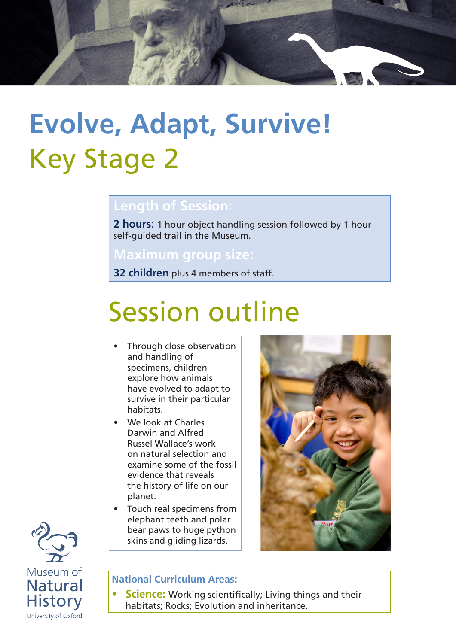

# **Evolve, Adapt, Survive!** Key Stage 2

### **Length of Session:**

**2 hours**: 1 hour object handling session followed by 1 hour self-guided trail in the Museum.

## **Maximum group size:**

**32 children** plus 4 members of staff.

# Session outline

- Through close observation and handling of specimens, children explore how animals have evolved to adapt to survive in their particular habitats.
- We look at Charles Darwin and Alfred Russel Wallace's work on natural selection and examine some of the fossil evidence that reveals the history of life on our planet.
- Touch real specimens from elephant teeth and polar bear paws to huge python skins and gliding lizards.





#### **National Curriculum Areas:**

**Science:** Working scientifically; Living things and their habitats; Rocks; Evolution and inheritance.